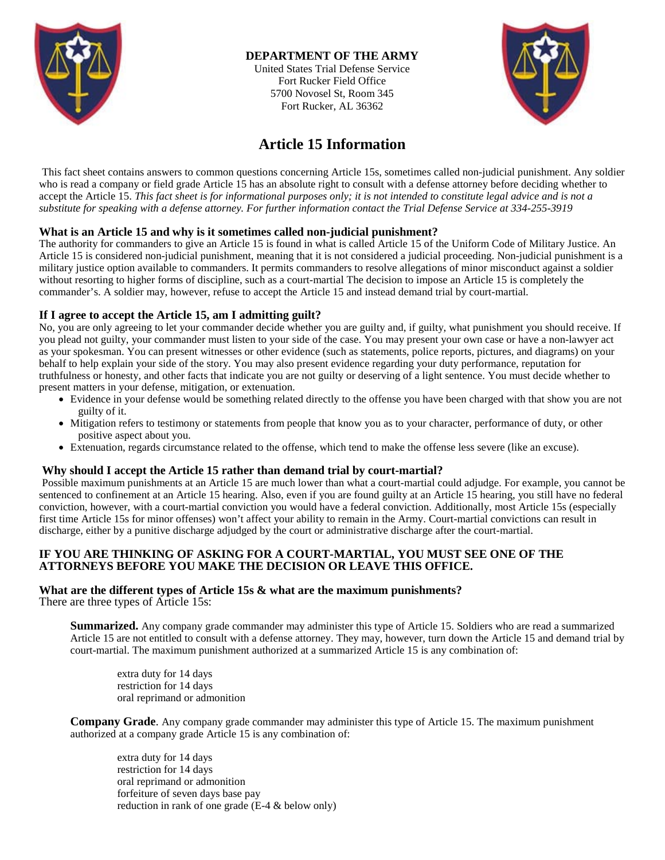

# **DEPARTMENT OF THE ARMY**

United States Trial Defense Service Fort Rucker Field Office 5700 Novosel St, Room 345 Fort Rucker, AL 36362



# **Article 15 Information**

This fact sheet contains answers to common questions concerning Article 15s, sometimes called non-judicial punishment. Any soldier who is read a company or field grade Article 15 has an absolute right to consult with a defense attorney before deciding whether to accept the Article 15. *This fact sheet is for informational purposes only; it is not intended to constitute legal advice and is not a substitute for speaking with a defense attorney. For further information contact the Trial Defense Service at 334-255-3919*

## **What is an Article 15 and why is it sometimes called non-judicial punishment?**

The authority for commanders to give an Article 15 is found in what is called Article 15 of the Uniform Code of Military Justice. An Article 15 is considered non-judicial punishment, meaning that it is not considered a judicial proceeding. Non-judicial punishment is a military justice option available to commanders. It permits commanders to resolve allegations of minor misconduct against a soldier without resorting to higher forms of discipline, such as a court-martial The decision to impose an Article 15 is completely the commander's. A soldier may, however, refuse to accept the Article 15 and instead demand trial by court-martial.

# **If I agree to accept the Article 15, am I admitting guilt?**

No, you are only agreeing to let your commander decide whether you are guilty and, if guilty, what punishment you should receive. If you plead not guilty, your commander must listen to your side of the case. You may present your own case or have a non-lawyer act as your spokesman. You can present witnesses or other evidence (such as statements, police reports, pictures, and diagrams) on your behalf to help explain your side of the story. You may also present evidence regarding your duty performance, reputation for truthfulness or honesty, and other facts that indicate you are not guilty or deserving of a light sentence. You must decide whether to present matters in your defense, mitigation, or extenuation.

- Evidence in your defense would be something related directly to the offense you have been charged with that show you are not guilty of it.
- Mitigation refers to testimony or statements from people that know you as to your character, performance of duty, or other positive aspect about you.
- Extenuation, regards circumstance related to the offense, which tend to make the offense less severe (like an excuse).

#### **Why should I accept the Article 15 rather than demand trial by court-martial?**

Possible maximum punishments at an Article 15 are much lower than what a court-martial could adjudge. For example, you cannot be sentenced to confinement at an Article 15 hearing. Also, even if you are found guilty at an Article 15 hearing, you still have no federal conviction, however, with a court-martial conviction you would have a federal conviction. Additionally, most Article 15s (especially first time Article 15s for minor offenses) won't affect your ability to remain in the Army. Court-martial convictions can result in discharge, either by a punitive discharge adjudged by the court or administrative discharge after the court-martial.

## **IF YOU ARE THINKING OF ASKING FOR A COURT-MARTIAL, YOU MUST SEE ONE OF THE ATTORNEYS BEFORE YOU MAKE THE DECISION OR LEAVE THIS OFFICE.**

#### **What are the different types of Article 15s & what are the maximum punishments?**

There are three types of Article 15s:

**Summarized.** Any company grade commander may administer this type of Article 15. Soldiers who are read a summarized Article 15 are not entitled to consult with a defense attorney. They may, however, turn down the Article 15 and demand trial by court-martial. The maximum punishment authorized at a summarized Article 15 is any combination of:

extra duty for 14 days restriction for 14 days oral reprimand or admonition

**Company Grade**. Any company grade commander may administer this type of Article 15. The maximum punishment authorized at a company grade Article 15 is any combination of:

extra duty for 14 days restriction for 14 days oral reprimand or admonition forfeiture of seven days base pay reduction in rank of one grade (E-4 & below only)